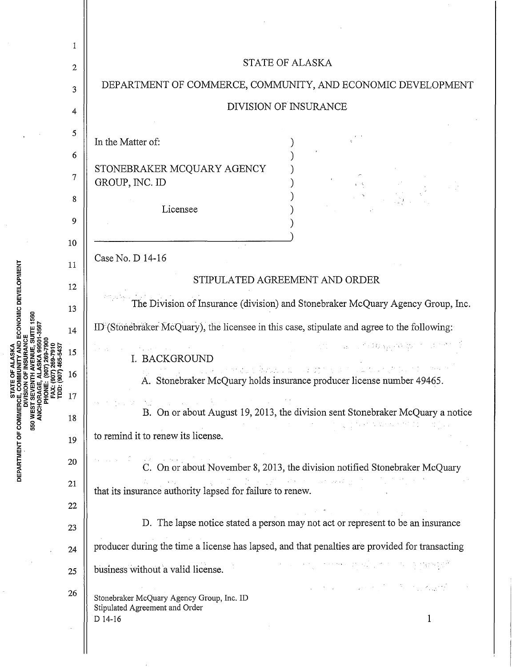|                                                                      | 1                |                                                                                                                                                                                                                                                                                                                                   |
|----------------------------------------------------------------------|------------------|-----------------------------------------------------------------------------------------------------------------------------------------------------------------------------------------------------------------------------------------------------------------------------------------------------------------------------------|
| ECONOMIC DEVELOPMENT<br><b>STATE</b><br>DEPARTMENT OF COMMERC<br>550 | $\boldsymbol{2}$ | STATE OF ALASKA                                                                                                                                                                                                                                                                                                                   |
|                                                                      | 3                | DEPARTMENT OF COMMERCE, COMMUNITY, AND ECONOMIC DEVELOPMENT                                                                                                                                                                                                                                                                       |
|                                                                      | 4                | <b>DIVISION OF INSURANCE</b>                                                                                                                                                                                                                                                                                                      |
|                                                                      | 5                |                                                                                                                                                                                                                                                                                                                                   |
|                                                                      | 6                | In the Matter of:                                                                                                                                                                                                                                                                                                                 |
|                                                                      | 7                | STONEBRAKER MCQUARY AGENCY                                                                                                                                                                                                                                                                                                        |
|                                                                      | 8                | GROUP, INC. ID                                                                                                                                                                                                                                                                                                                    |
|                                                                      | 9                | Licensee                                                                                                                                                                                                                                                                                                                          |
|                                                                      | 10               |                                                                                                                                                                                                                                                                                                                                   |
|                                                                      | 11               | Case No. D 14-16                                                                                                                                                                                                                                                                                                                  |
|                                                                      | 12               | STIPULATED AGREEMENT AND ORDER                                                                                                                                                                                                                                                                                                    |
|                                                                      | 13               | The Division of Insurance (division) and Stonebraker McQuary Agency Group, Inc.                                                                                                                                                                                                                                                   |
|                                                                      | 14               | ID (Stonebraker McQuary), the licensee in this case, stipulate and agree to the following:                                                                                                                                                                                                                                        |
|                                                                      | 15               | I. BACKGROUND                                                                                                                                                                                                                                                                                                                     |
|                                                                      | 16               | A. Stonebraker McQuary holds insurance producer license number 49465.                                                                                                                                                                                                                                                             |
|                                                                      | 17<br>18         | $\label{eq:2.1} \mathcal{L} = \mathcal{L} \left( \mathcal{L} \right) \left( \mathcal{L} \right) \left( \mathcal{L} \right) \left( \mathcal{L} \right) \left( \mathcal{L} \right) \left( \mathcal{L} \right)$<br>B. On or about August 19, 2013, the division sent Stonebraker McQuary a notice                                    |
|                                                                      | 19               | to remind it to renew its license.                                                                                                                                                                                                                                                                                                |
|                                                                      | 20               |                                                                                                                                                                                                                                                                                                                                   |
|                                                                      | 21               | C. On or about November 8, 2013, the division notified Stonebraker McQuary<br>that its insurance authority lapsed for failure to renew.                                                                                                                                                                                           |
|                                                                      | $22\,$           |                                                                                                                                                                                                                                                                                                                                   |
|                                                                      | 23               | $\sigma_{\rm{max}}$ and $\sigma_{\rm{max}}$ are the set of the set of the set of the set of the set of the set of the set of the set of the set of the set of the set of the set of the set of the set of the set of the set of the set of the<br>D. The lapse notice stated a person may not act or represent to be an insurance |
|                                                                      | 24               | producer during the time a license has lapsed, and that penalties are provided for transacting                                                                                                                                                                                                                                    |
|                                                                      | 25               | 计分子程序 经合同股票 化二苯甲酸丙烷酯<br>business without a valid license.                                                                                                                                                                                                                                                                         |
|                                                                      | 26               | and the same process of the State and the process<br>Stonebraker McQuary Agency Group, Inc. ID<br>Stipulated Agreement and Order                                                                                                                                                                                                  |
|                                                                      |                  | D 14-16<br>$\mathbf 1$                                                                                                                                                                                                                                                                                                            |

k)

 $\sim$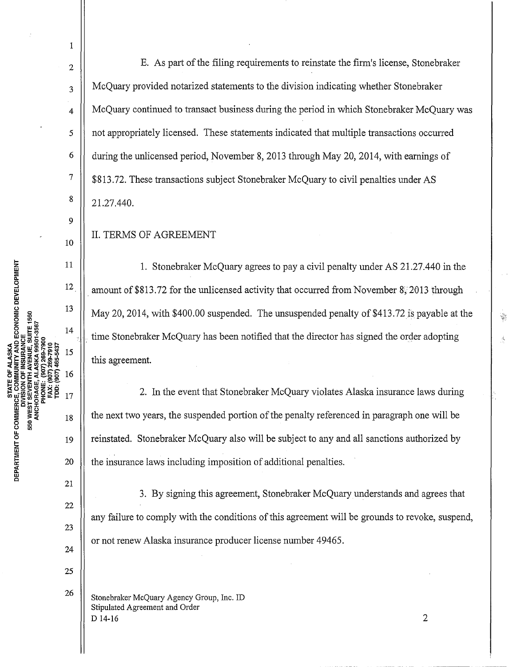7 10 DEPARTMENT OF COMMERCE, COMMUNITY AND ECONOMIC DEVELOPMENT<br>DIVISION OF INSION OF INSURANCE<br>550 WEST SEVENTH AVENUE, SUITE 1560 11 12 13 14 15 16 17 18 19 20 21

1

2

3

4

*5* 

6

8

9

22

23

24

25

26

E. As part of the filing requirements to reinstate the firm's license, Stonebraker McQuary provided notarized statements to the division indicating whether Stonebraker McQuary continued to transact business during the period in which Stonebraker McQuary was not appropriately licensed. These statements indicated that multiple transactions occurred during the unlicensed period, November 8, 2013 through May 20, 2014, with earnings of \$813.72. These transactions subject Stonebraker McQuary to civil penalties under AS 21.27.440.

II. TERMS OF AGREEMENT

1. Stonebraker McQuary agrees to pay a civil penalty under AS 21.27.440 in the amount of \$813.72 for the unlicensed activity that occurred from November  $8\degree$ 2013 through May 20, 2014, with \$400.00 suspended. The unsuspended penalty of \$413.72 is payable at the time Stonebraker McQuary has been notified that the director has signed the order adopting this agreement.

2. In the event that Stonebraker McQuary violates Alaska insurance laws during the next two years, the suspended portion of the penalty referenced in paragraph one will be reinstated. Stonebraker McQuary also will be subject to any and all sanctions authorized by the insurance laws including imposition of additional penalties.

3. By signing this agreement, Stonebraker McQuary understands and agrees that any failure to comply with the conditions of this agreement will be grounds to revoke, suspend, or not renew Alaska insurance producer license number 49465.

Stonebraker McQuary Agency Group, Inc. ID Stipulated Agreement and Order D 14-16 2 ķ,